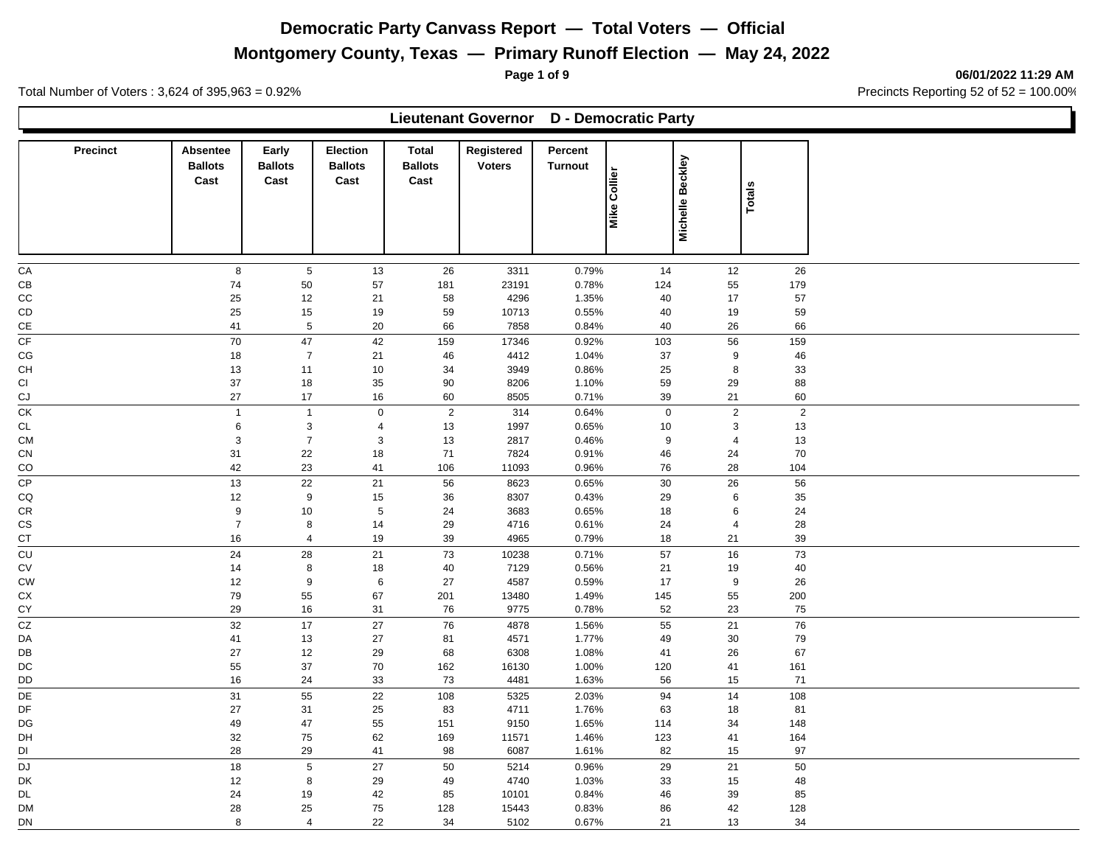# **Montgomery County, Texas — Primary Runoff Election — May 24, 2022**

**Page 1 of 9 06/01/2022 11:29 AM**

Total Number of Voters : 3,624 of 395,963 = 0.92% Precincts Reporting 52 of 52 = 100.00%

|                  |                                    |                                 |                                           |                                        | Lieutenant Governor D - Democratic Party |                           |                     |                  |                |  |
|------------------|------------------------------------|---------------------------------|-------------------------------------------|----------------------------------------|------------------------------------------|---------------------------|---------------------|------------------|----------------|--|
| <b>Precinct</b>  | Absentee<br><b>Ballots</b><br>Cast | Early<br><b>Ballots</b><br>Cast | <b>Election</b><br><b>Ballots</b><br>Cast | <b>Total</b><br><b>Ballots</b><br>Cast | Registered<br><b>Voters</b>              | Percent<br><b>Turnout</b> | <b>Mike Collier</b> | Michelle Beckley | Totals         |  |
| CA               | 8                                  | $\,$ 5 $\,$                     | 13                                        | 26                                     | 3311                                     | 0.79%                     | 14                  | 12               | 26             |  |
| CB               | 74                                 | 50                              | 57                                        | 181                                    | 23191                                    | 0.78%                     | 124                 | 55               | 179            |  |
| CC               | 25                                 | 12                              | 21                                        | 58                                     | 4296                                     | 1.35%                     | 40                  | 17               | 57             |  |
| CD               | 25                                 | 15                              | 19                                        | 59                                     | 10713                                    | 0.55%                     | 40                  | 19               | 59             |  |
| $\mathsf{CE}$    | 41                                 | $\sqrt{5}$                      | 20                                        | 66                                     | 7858                                     | 0.84%                     | 40                  | 26               | 66             |  |
| CF               | 70                                 | 47                              | 42                                        | 159                                    | 17346                                    | 0.92%                     | 103                 | 56               | 159            |  |
| CG               | 18                                 | $\overline{7}$                  | 21                                        | 46                                     | 4412                                     | 1.04%                     | 37                  | 9                | 46             |  |
| <b>CH</b>        | 13                                 | 11                              | 10                                        | 34                                     | 3949                                     | 0.86%                     | 25                  | 8                | 33             |  |
| CI               | 37                                 | 18                              | 35                                        | 90                                     | 8206                                     | 1.10%                     | 59                  | 29               | 88             |  |
| CJ               | 27                                 | 17                              | 16                                        | 60                                     | 8505                                     | 0.71%                     | 39                  | 21               | 60             |  |
| СK               | $\mathbf{1}$                       | $\mathbf{1}$                    | $\pmb{0}$                                 | $\sqrt{2}$                             | 314                                      | 0.64%                     | $\mathbf 0$         | $\sqrt{2}$       | $\overline{2}$ |  |
| <b>CL</b>        | $\,6$                              | $\mathbf{3}$                    | $\overline{4}$                            | 13                                     | 1997                                     | 0.65%                     | 10                  | $\mathbf{3}$     | 13             |  |
| <b>CM</b>        | $\sqrt{3}$                         | $\overline{7}$                  | $\sqrt{3}$                                | 13                                     | 2817                                     | 0.46%                     | 9                   | $\overline{4}$   | 13             |  |
| ${\sf CN}$<br>CO | 31<br>42                           | 22<br>23                        | 18<br>41                                  | 71<br>106                              | 7824<br>11093                            | 0.91%<br>0.96%            | 46<br>76            | 24<br>28         | 70<br>104      |  |
| <b>CP</b>        | 13                                 | 22                              | 21                                        | 56                                     | 8623                                     | 0.65%                     | 30                  |                  | 56             |  |
| CQ               | 12                                 | 9                               | 15                                        | 36                                     | 8307                                     | 0.43%                     | 29                  | 26<br>$\,6$      | 35             |  |
| CR               | $\boldsymbol{9}$                   | 10                              | $\sqrt{5}$                                | 24                                     | 3683                                     | 0.65%                     | 18                  | $\,6\,$          | 24             |  |
| CS               | $\overline{7}$                     | 8                               | 14                                        | 29                                     | 4716                                     | 0.61%                     | 24                  | $\overline{4}$   | 28             |  |
| CT               | 16                                 | $\overline{4}$                  | 19                                        | 39                                     | 4965                                     | 0.79%                     | 18                  | 21               | 39             |  |
| CU               | 24                                 | 28                              | 21                                        | 73                                     | 10238                                    | 0.71%                     | 57                  | 16               | 73             |  |
| CV               | 14                                 | $\,8\,$                         | 18                                        | 40                                     | 7129                                     | 0.56%                     | 21                  | 19               | 40             |  |
| <b>CW</b>        | 12                                 | 9                               | 6                                         | 27                                     | 4587                                     | 0.59%                     | 17                  | 9                | 26             |  |
| СX               | 79                                 | 55                              | 67                                        | 201                                    | 13480                                    | 1.49%                     | 145                 | 55               | 200            |  |
| CY               | 29                                 | 16                              | 31                                        | 76                                     | 9775                                     | 0.78%                     | 52                  | 23               | 75             |  |
| CZ               | 32                                 | 17                              | 27                                        | 76                                     | 4878                                     | 1.56%                     | 55                  | 21               | 76             |  |
| DA               | 41                                 | 13                              | 27                                        | 81                                     | 4571                                     | 1.77%                     | 49                  | 30               | 79             |  |
| DB               | 27                                 | 12                              | 29                                        | 68                                     | 6308                                     | 1.08%                     | 41                  | 26               | 67             |  |
| DC               | 55                                 | 37                              | 70                                        | 162                                    | 16130                                    | 1.00%                     | 120                 | 41               | 161            |  |
| DD               | 16                                 | 24                              | 33                                        | 73                                     | 4481                                     | 1.63%                     | 56                  | 15               | 71             |  |
| DE               | 31                                 | 55                              | 22                                        | 108                                    | 5325                                     | 2.03%                     | 94                  | 14               | 108            |  |
| DF               | 27                                 | 31                              | 25                                        | 83                                     | 4711                                     | 1.76%                     | 63                  | 18               | 81             |  |
| DG               | 49                                 | 47                              | 55                                        | 151                                    | 9150                                     | 1.65%                     | 114                 | 34               | 148            |  |
| DH               | 32                                 | 75                              | 62                                        | 169                                    | 11571                                    | 1.46%                     | 123                 | 41               | 164            |  |
| DI               | 28                                 | 29                              | 41                                        | 98                                     | 6087                                     | 1.61%                     | 82                  | 15               | 97             |  |
| <b>DJ</b>        | 18                                 | $\,$ 5 $\,$                     | 27                                        | 50                                     | 5214                                     | 0.96%                     | 29                  | 21               | 50             |  |
| DK               | 12                                 | 8                               | 29                                        | 49                                     | 4740                                     | 1.03%                     | 33                  | 15               | 48             |  |
| DL               | 24                                 | 19                              | 42                                        | 85                                     | 10101                                    | 0.84%                     | 46                  | 39               | 85             |  |
| <b>DM</b>        | 28                                 | 25                              | 75                                        | 128                                    | 15443                                    | 0.83%                     | 86                  | 42               | 128            |  |
| DN               | 8                                  | $\overline{4}$                  | 22                                        | 34                                     | 5102                                     | 0.67%                     | 21                  | 13               | 34             |  |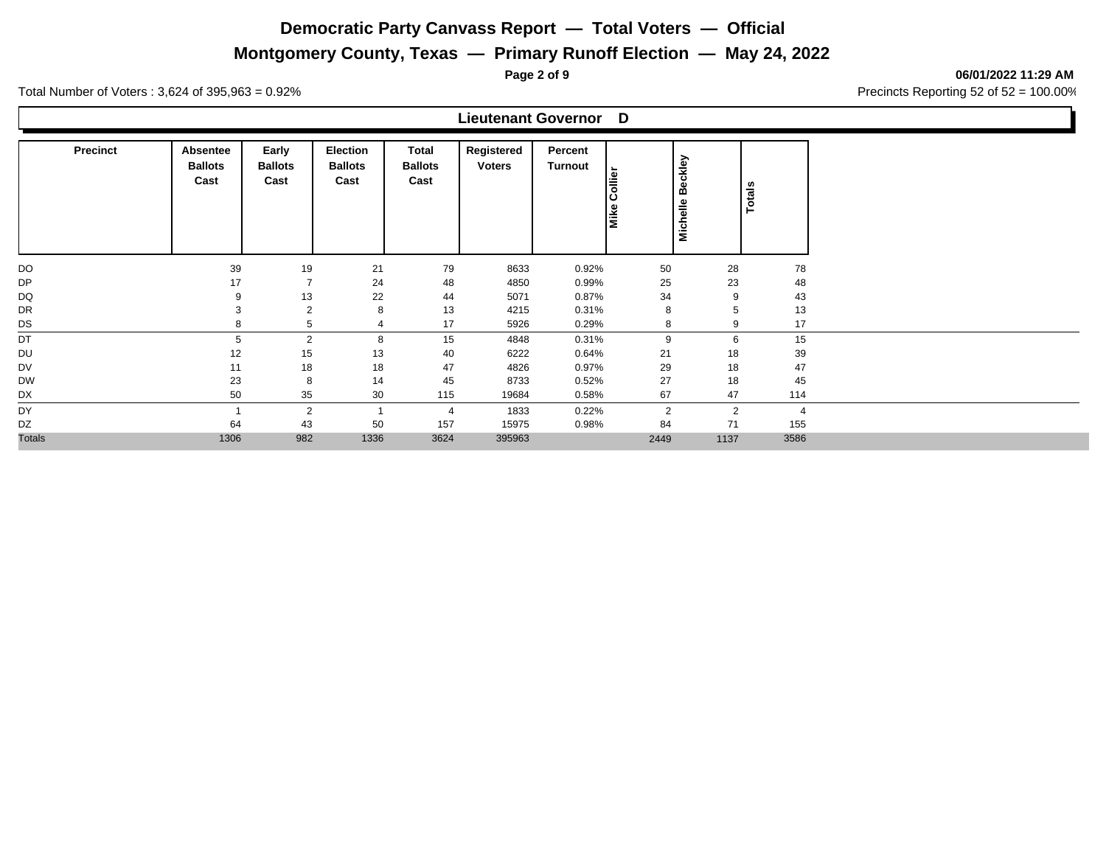**Montgomery County, Texas — Primary Runoff Election — May 24, 2022**

**Page 2 of 9 06/01/2022 11:29 AM**

Total Number of Voters : 3,624 of 395,963 = 0.92% Precincts Reporting 52 of 52 = 100.00%

#### **Lieutenant Governor D**

| <b>Precinct</b> | Absentee<br><b>Ballots</b><br>Cast | Early<br><b>Ballots</b><br>Cast | <b>Election</b><br><b>Ballots</b><br>Cast | Total<br><b>Ballots</b><br>Cast | Registered<br><b>Voters</b> | Percent<br>Turnout | $\frac{1}{\sin \theta}$<br>Mike | <b>Beckley</b><br>Michelle | Totals         |                |
|-----------------|------------------------------------|---------------------------------|-------------------------------------------|---------------------------------|-----------------------------|--------------------|---------------------------------|----------------------------|----------------|----------------|
| DO              | 39                                 | 19                              | 21                                        | 79                              | 8633                        | 0.92%              | 50                              |                            | 28             | 78             |
| <b>DP</b>       | 17                                 | $\overline{7}$                  | 24                                        | 48                              | 4850                        | 0.99%              | 25                              |                            | 23             | 48             |
| DQ              | 9                                  | 13                              | 22                                        | 44                              | 5071                        | 0.87%              | 34                              |                            | 9              | 43             |
| DR              | 3                                  | $\overline{2}$                  | 8                                         | 13                              | 4215                        | 0.31%              | 8                               |                            | 5              | 13             |
| DS              | 8                                  | 5                               | 4                                         | 17                              | 5926                        | 0.29%              | 8                               |                            | 9              | 17             |
| DT              | 5                                  | $\overline{2}$                  | 8                                         | 15                              | 4848                        | 0.31%              | 9                               |                            | 6              | 15             |
| DU              | 12                                 | 15                              | 13                                        | 40                              | 6222                        | 0.64%              | 21                              |                            | 18             | 39             |
| DV              | 11                                 | 18                              | 18                                        | 47                              | 4826                        | 0.97%              | 29                              |                            | 18             | 47             |
| <b>DW</b>       | 23                                 | 8                               | 14                                        | 45                              | 8733                        | 0.52%              | 27                              |                            | 18             | 45             |
| DX              | 50                                 | 35                              | 30                                        | 115                             | 19684                       | 0.58%              | 67                              |                            | 47             | 114            |
| DY              |                                    | $\overline{2}$                  |                                           | $\overline{4}$                  | 1833                        | 0.22%              | $\overline{2}$                  |                            | $\overline{2}$ | $\overline{4}$ |
| DZ              | 64                                 | 43                              | 50                                        | 157                             | 15975                       | 0.98%              | 84                              |                            | 71             | 155            |
| <b>Totals</b>   | 1306                               | 982                             | 1336                                      | 3624                            | 395963                      |                    | 2449                            |                            | 1137           | 3586           |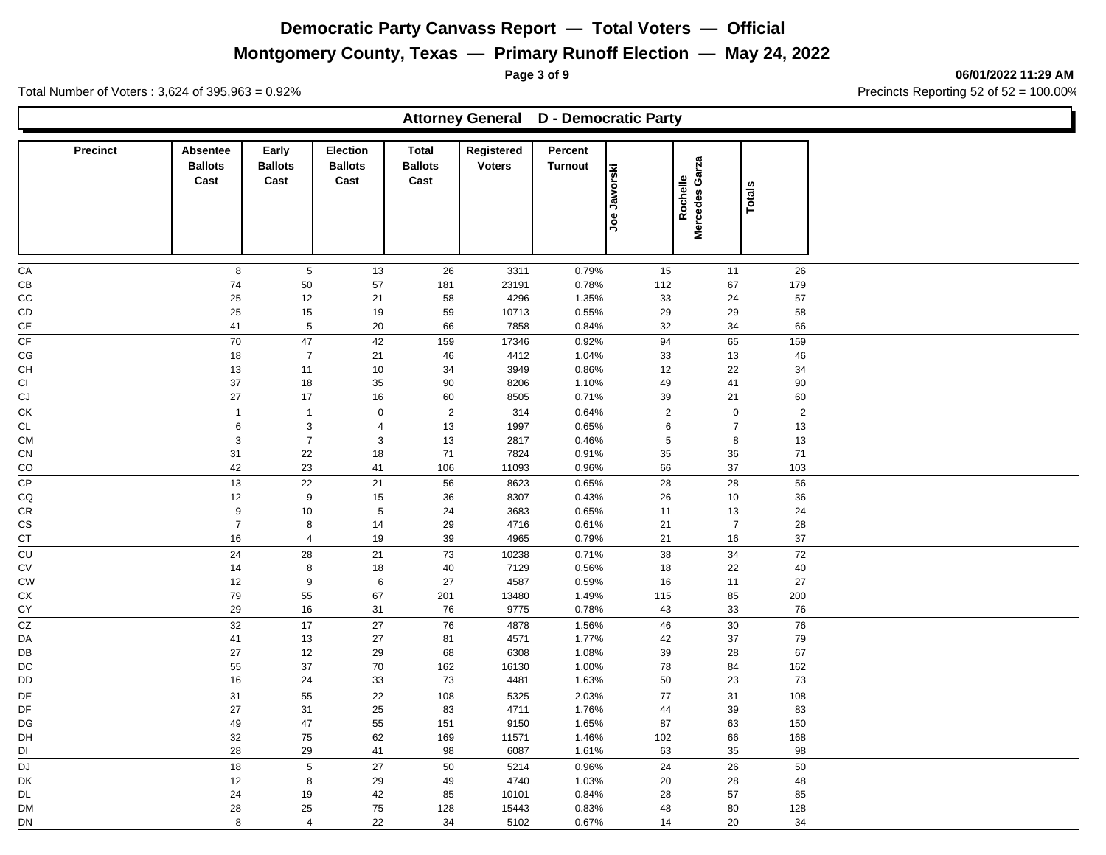**Montgomery County, Texas — Primary Runoff Election — May 24, 2022**

**Page 3 of 9 06/01/2022 11:29 AM**

Total Number of Voters : 3,624 of 395,963 = 0.92% Precincts Reporting 52 of 52 = 100.00%

|                 |                                    |                                 |                                           |                                        | <b>Attorney General D - Democratic Party</b> |                           |                        |                            |                 |  |
|-----------------|------------------------------------|---------------------------------|-------------------------------------------|----------------------------------------|----------------------------------------------|---------------------------|------------------------|----------------------------|-----------------|--|
| <b>Precinct</b> | Absentee<br><b>Ballots</b><br>Cast | Early<br><b>Ballots</b><br>Cast | <b>Election</b><br><b>Ballots</b><br>Cast | <b>Total</b><br><b>Ballots</b><br>Cast | Registered<br><b>Voters</b>                  | Percent<br><b>Turnout</b> | Jaworski<br><b>Joe</b> | Mercedes Garza<br>Rochelle | <b>Totals</b>   |  |
| ${\sf CA}$      | 8                                  | $\,$ 5 $\,$                     | 13                                        | 26                                     | 3311                                         | 0.79%                     | 15                     | 11                         | 26              |  |
| CВ              | 74                                 | $50\,$                          | 57                                        | 181                                    | 23191                                        | 0.78%                     | 112                    | 67                         | 179             |  |
| CC              | 25                                 | 12                              | 21                                        | 58                                     | 4296                                         | 1.35%                     | 33                     | 24                         | 57              |  |
| CD              | 25                                 | 15                              | 19                                        | 59                                     | 10713                                        | 0.55%                     | 29                     | 29                         | 58              |  |
| CE              | 41                                 | $\sqrt{5}$                      | 20                                        | 66                                     | 7858                                         | 0.84%                     | 32                     | 34                         | 66              |  |
| CF              | $70\,$                             | $47\,$                          | 42                                        | 159                                    | 17346                                        | 0.92%                     | 94                     | 65                         | 159             |  |
| CG              | 18                                 | $\overline{7}$                  | 21                                        | 46                                     | 4412                                         | 1.04%                     | 33                     | 13                         | 46              |  |
| CH<br>CI        | $13$<br>37                         | 11<br>18                        | $10$<br>35                                | 34<br>$90\,$                           | 3949<br>8206                                 | 0.86%<br>1.10%            | 12<br>49               | 22<br>41                   | 34<br>$90\,$    |  |
| CJ              | 27                                 | 17                              | 16                                        | 60                                     | 8505                                         | 0.71%                     | 39                     | 21                         | 60              |  |
| $\overline{CK}$ | $\overline{1}$                     | $\mathbf{1}$                    | $\pmb{0}$                                 | $\sqrt{2}$                             | 314                                          | 0.64%                     | $\mathbf 2$            | $\mathbf 0$                | $\sqrt{2}$      |  |
| CL              | $\,6\,$                            | $\mathbf{3}$                    | $\overline{4}$                            | 13                                     | 1997                                         | 0.65%                     | 6                      | $\overline{7}$             | 13              |  |
| <b>CM</b>       | $\mathbf{3}$                       | $\overline{7}$                  | $\mathbf{3}$                              | 13                                     | 2817                                         | 0.46%                     | $\,$ 5 $\,$            | 8                          | $13$            |  |
| CN              | 31                                 | 22                              | 18                                        | $71$                                   | 7824                                         | 0.91%                     | 35                     | $36\,$                     | $\bf 71$        |  |
| CO              | 42                                 | 23                              | 41                                        | 106                                    | 11093                                        | 0.96%                     | 66                     | 37                         | 103             |  |
| $\overline{CP}$ | 13                                 | 22                              | 21                                        | 56                                     | 8623                                         | 0.65%                     | 28                     | 28                         | 56              |  |
| CQ              | $12\,$                             | 9                               | $15\,$                                    | 36                                     | 8307                                         | 0.43%                     | 26                     | $10$                       | 36              |  |
| CR              | $\boldsymbol{9}$                   | 10                              | $\overline{5}$                            | 24                                     | 3683                                         | 0.65%                     | 11                     | 13                         | 24              |  |
| CS<br>СT        | $\overline{7}$<br>16               | 8<br>$\overline{4}$             | 14<br>$19$                                | 29<br>39                               | 4716<br>4965                                 | 0.61%<br>0.79%            | 21<br>21               | $\overline{7}$<br>$16\,$   | 28<br>37        |  |
| $\overline{c}$  | 24                                 | 28                              | 21                                        | 73                                     | 10238                                        | 0.71%                     | 38                     | 34                         | $\overline{72}$ |  |
| СV              | 14                                 | $\bf8$                          | $18\,$                                    | 40                                     | 7129                                         | 0.56%                     | 18                     | 22                         | $40\,$          |  |
| <b>CW</b>       | 12                                 | 9                               | $\,6\,$                                   | 27                                     | 4587                                         | 0.59%                     | 16                     | 11                         | $27\,$          |  |
| СX              | $\bf 79$                           | 55                              | 67                                        | 201                                    | 13480                                        | 1.49%                     | 115                    | 85                         | 200             |  |
| CY              | 29                                 | $16\,$                          | 31                                        | 76                                     | 9775                                         | 0.78%                     | 43                     | 33                         | 76              |  |
| $\overline{cz}$ | 32                                 | 17                              | 27                                        | 76                                     | 4878                                         | 1.56%                     | 46                     | 30                         | 76              |  |
| DA              | 41                                 | 13                              | 27                                        | 81                                     | 4571                                         | 1.77%                     | 42                     | 37                         | 79              |  |
| DB              | 27                                 | $12\,$                          | 29                                        | 68                                     | 6308                                         | 1.08%                     | 39                     | 28                         | 67              |  |
| DC              | 55                                 | $37\,$                          | 70                                        | 162                                    | 16130                                        | 1.00%                     | 78                     | 84                         | 162             |  |
| DD              | $16\,$                             | 24                              | 33                                        | 73                                     | 4481                                         | 1.63%                     | 50                     | 23                         | $73\,$          |  |
| DE              | 31                                 | 55                              | 22                                        | 108                                    | 5325                                         | 2.03%                     | 77                     | 31                         | 108             |  |
| DF              | $27\,$                             | 31                              | 25                                        | 83                                     | 4711                                         | 1.76%                     | 44                     | 39                         | 83              |  |
| DG              | 49                                 | 47<br>75                        | 55                                        | 151                                    | 9150                                         | 1.65%                     | 87                     | 63                         | 150             |  |
| DH<br>DI        | 32<br>28                           | 29                              | 62<br>41                                  | 169<br>98                              | 11571<br>6087                                | 1.46%<br>1.61%            | 102<br>63              | 66<br>35                   | 168<br>98       |  |
| <b>DJ</b>       | 18                                 | $\,$ 5 $\,$                     | 27                                        | 50                                     | 5214                                         |                           | 24                     | 26                         | 50              |  |
| DK              | 12                                 | 8                               | 29                                        | 49                                     | 4740                                         | 0.96%<br>1.03%            | 20                     | 28                         | 48              |  |
| <b>DL</b>       | 24                                 | 19                              | 42                                        | 85                                     | 10101                                        | 0.84%                     | 28                     | 57                         | 85              |  |
| DM              | 28                                 | 25                              | ${\bf 75}$                                | 128                                    | 15443                                        | 0.83%                     | 48                     | 80                         | 128             |  |
| DN              | 8                                  | $\overline{4}$                  | 22                                        | 34                                     | 5102                                         | 0.67%                     | 14                     | 20                         | 34              |  |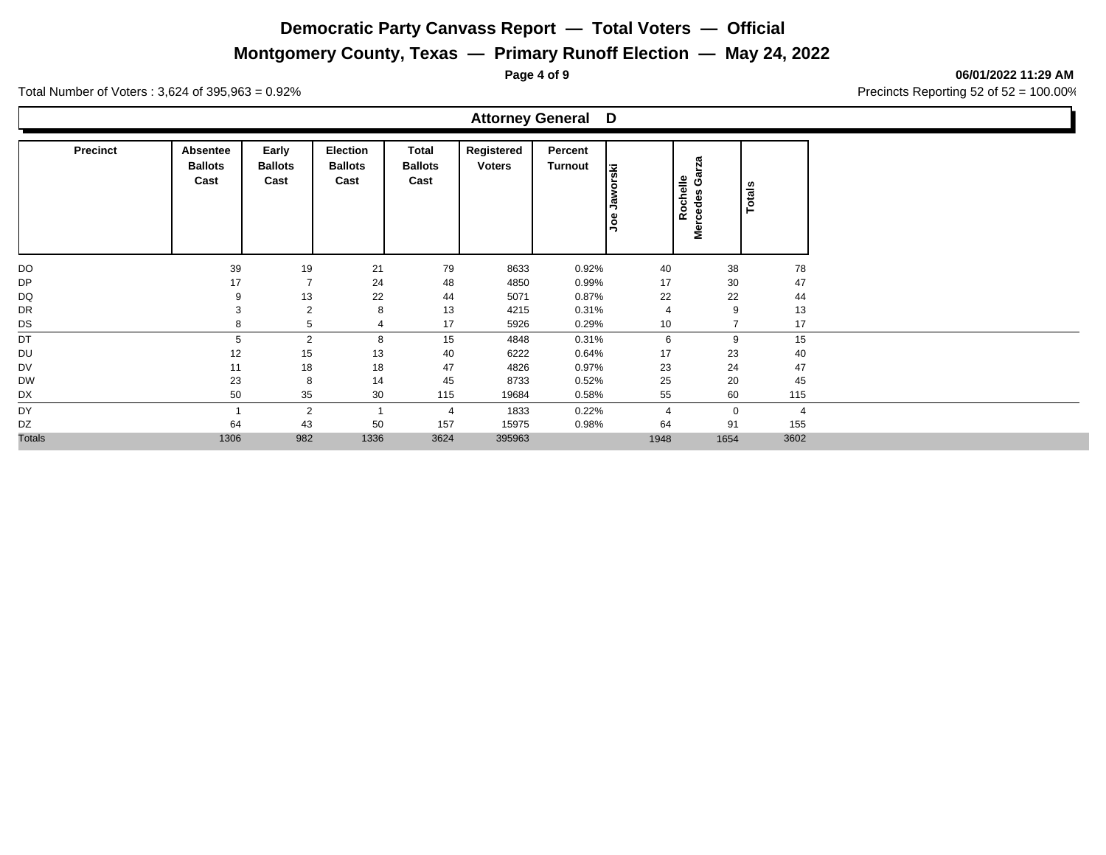**Montgomery County, Texas — Primary Runoff Election — May 24, 2022**

**Page 4 of 9 06/01/2022 11:29 AM**

Total Number of Voters : 3,624 of 395,963 = 0.92% Precincts Reporting 52 of 52 = 100.00%

| <b>Attorney General D</b> |
|---------------------------|
|---------------------------|

| <b>Precinct</b> | Absentee<br><b>Ballots</b><br>Cast | Early<br><b>Ballots</b><br>Cast | <b>Election</b><br><b>Ballots</b><br>Cast | Total<br><b>Ballots</b><br>Cast | Registered<br><b>Voters</b> | Percent<br>Turnout | <u>ig</u><br>$\circ$<br>وم<br>gol | π<br>Rochelle<br>ט<br>m<br>≗ | n<br>Total     |                |
|-----------------|------------------------------------|---------------------------------|-------------------------------------------|---------------------------------|-----------------------------|--------------------|-----------------------------------|------------------------------|----------------|----------------|
| DO              | 39                                 | 19                              | 21                                        | 79                              | 8633                        | 0.92%              | 40                                |                              | 38             | 78             |
| <b>DP</b>       | 17                                 | $\overline{7}$                  | 24                                        | 48                              | 4850                        | 0.99%              | 17                                |                              | 30             | 47             |
| DQ              | 9                                  | 13                              | 22                                        | 44                              | 5071                        | 0.87%              | 22                                |                              | 22             | 44             |
| DR              | 3                                  | $\overline{2}$                  | 8                                         | 13                              | 4215                        | 0.31%              | $\overline{4}$                    |                              | 9              | 13             |
| DS              | 8                                  | 5                               |                                           | 17                              | 5926                        | 0.29%              | 10                                |                              | $\overline{ }$ | 17             |
| DT              | 5                                  | $\overline{2}$                  | 8                                         | 15                              | 4848                        | 0.31%              | 6                                 |                              | 9              | 15             |
| DU              | 12                                 | 15                              | 13                                        | 40                              | 6222                        | 0.64%              | 17                                |                              | 23             | 40             |
| <b>DV</b>       | 11                                 | 18                              | 18                                        | 47                              | 4826                        | 0.97%              | 23                                |                              | 24             | 47             |
| <b>DW</b>       | 23                                 | 8                               | 14                                        | 45                              | 8733                        | 0.52%              | 25                                |                              | 20             | 45             |
| DX              | 50                                 | 35                              | 30                                        | 115                             | 19684                       | 0.58%              | 55                                |                              | 60             | 115            |
| DY              |                                    | $\overline{2}$                  |                                           | $\overline{4}$                  | 1833                        | 0.22%              | $\overline{4}$                    |                              | $\mathbf 0$    | $\overline{4}$ |
| DZ              | 64                                 | 43                              | 50                                        | 157                             | 15975                       | 0.98%              | 64                                |                              | 91             | 155            |
| <b>Totals</b>   | 1306                               | 982                             | 1336                                      | 3624                            | 395963                      |                    | 1948                              | 1654                         |                | 3602           |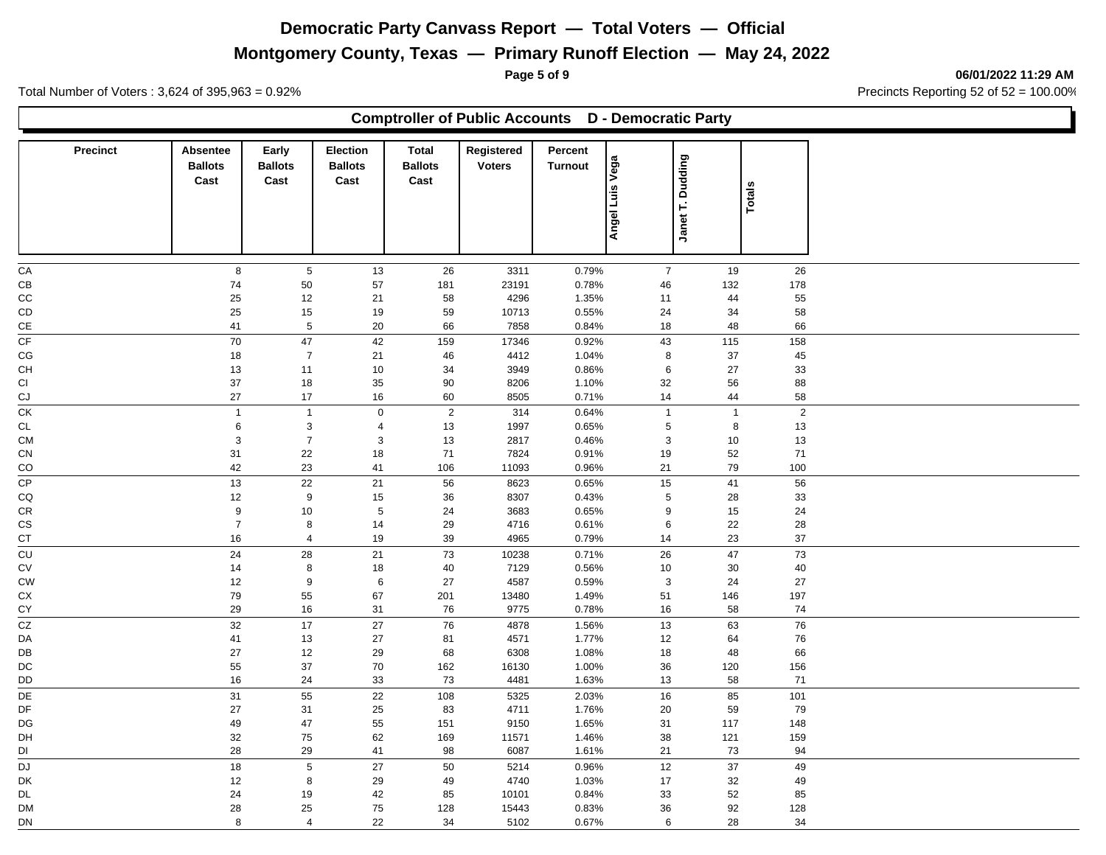## **Montgomery County, Texas — Primary Runoff Election — May 24, 2022**

**Comptroller of Public Accounts D - Democratic Party**

**Page 5 of 9 06/01/2022 11:29 AM**

Total Number of Voters : 3,624 of 395,963 = 0.92% Precincts Reporting 52 of 52 = 100.00%

| <b>Precinct</b> | Absentee<br><b>Ballots</b><br>Cast | <b>Early</b><br><b>Ballots</b><br>Cast | Election<br><b>Ballots</b><br>Cast | <b>Total</b><br><b>Ballots</b><br>Cast | Registered<br><b>Voters</b> | Percent<br><b>Turnout</b> | <b>Vega</b><br>Angel Luis | Janet T. Dudding | Totals    |  |
|-----------------|------------------------------------|----------------------------------------|------------------------------------|----------------------------------------|-----------------------------|---------------------------|---------------------------|------------------|-----------|--|
| СA              | 8                                  | 5                                      | 13                                 | 26                                     |                             |                           | $\overline{7}$            | 19               | 26        |  |
| CВ              | 74                                 |                                        |                                    |                                        | 3311<br>23191               | 0.79%<br>0.78%            |                           |                  |           |  |
| CС              | 25                                 | 50<br>12                               | 57<br>21                           | 181<br>58                              | 4296                        | 1.35%                     | 46                        | 132<br>44        | 178<br>55 |  |
| СD              | 25                                 | 15                                     | 19                                 | 59                                     | 10713                       | 0.55%                     | 11                        | 34               | 58        |  |
|                 |                                    |                                        |                                    |                                        |                             |                           | 24                        |                  |           |  |
| СE              | 41                                 | 5                                      | 20                                 | 66                                     | 7858                        | 0.84%                     | 18                        | 48               | 66        |  |
| СF              | 70                                 | 47                                     | 42                                 | 159                                    | 17346                       | 0.92%                     | 43                        | 115              | 158       |  |
| СG              | 18                                 | $\overline{7}$                         | 21                                 | 46                                     | 4412                        | 1.04%                     | 8                         | 37               | 45        |  |
| CН              | 13                                 | 11                                     | 10                                 | 34                                     | 3949                        | 0.86%                     | 6                         | 27               | 33        |  |
| СI              | 37                                 | 18                                     | 35                                 | 90                                     | 8206                        | 1.10%                     | 32                        | 56               | 88        |  |
| СJ              | 27                                 | 17                                     | 16                                 | 60                                     | 8505                        | 0.71%                     | 14                        | 44               | 58        |  |
| СK              | $\mathbf{1}$                       | $\mathbf{1}$                           | $\mathbf 0$                        | $\overline{2}$                         | 314                         | 0.64%                     | $\mathbf{1}$              | $\mathbf{1}$     | 2         |  |
| СL              | 6                                  | 3                                      | 4                                  | 13                                     | 1997                        | 0.65%                     | 5                         | 8                | 13        |  |
| CМ              | 3                                  | $\overline{7}$                         | 3                                  | 13                                     | 2817                        | 0.46%                     | 3                         | 10               | 13        |  |
| СN              | 31                                 | 22                                     | 18                                 | 71                                     | 7824                        | 0.91%                     | 19                        | 52               | 71        |  |
| CO              | 42                                 | 23                                     | 41                                 | 106                                    | 11093                       | 0.96%                     | 21                        | 79               | 100       |  |
| СP              | 13                                 | 22                                     | 21                                 | 56                                     | 8623                        | 0.65%                     | 15                        | 41               | 56        |  |
| CQ              | 12                                 | 9                                      | 15                                 | 36                                     | 8307                        | 0.43%                     | 5                         | 28               | 33        |  |
| СR              | 9                                  | 10                                     | 5                                  | 24                                     | 3683                        | 0.65%                     | 9                         | 15               | 24        |  |
| СS              | $\overline{7}$                     | 8                                      | 14                                 | 29                                     | 4716                        | 0.61%                     | 6                         | 22               | 28        |  |
| CТ              | 16                                 | 4                                      | 19                                 | 39                                     | 4965                        | 0.79%                     | 14                        | 23               | 37        |  |
| CU              | 24                                 | 28                                     | 21                                 | 73                                     | 10238                       | 0.71%                     | 26                        | 47               | 73        |  |
| СV              | 14                                 | 8                                      | 18                                 | 40                                     | 7129                        | 0.56%                     | 10                        | 30               | 40        |  |
| СW              | 12                                 | 9                                      | 6                                  | 27                                     | 4587                        | 0.59%                     | 3                         | 24               | 27        |  |
| СX              | 79                                 | 55                                     | 67                                 | 201                                    | 13480                       | 1.49%                     | 51                        | 146              | 197       |  |
| СY              | 29                                 | 16                                     | 31                                 | 76                                     | 9775                        | 0.78%                     | 16                        | 58               | 74        |  |
| CZ              | 32                                 | 17                                     | 27                                 | 76                                     | 4878                        | 1.56%                     | 13                        | 63               | 76        |  |
| DA              | 41                                 | 13                                     | 27                                 | 81                                     | 4571                        | 1.77%                     | 12                        | 64               | 76        |  |
| DB              | 27                                 | 12                                     | 29                                 | 68                                     | 6308                        | 1.08%                     | 18                        | 48               | 66        |  |
| DC              | 55                                 | 37                                     | 70                                 | 162                                    | 16130                       | 1.00%                     | 36                        | 120              | 156       |  |
| DD              | 16                                 | 24                                     | 33                                 | 73                                     | 4481                        | 1.63%                     | 13                        | 58               | 71        |  |
| DE              | 31                                 | 55                                     | 22                                 | 108                                    | 5325                        | 2.03%                     | 16                        | 85               | 101       |  |
| DF              | 27                                 | 31                                     | 25                                 | 83                                     | 4711                        | 1.76%                     | 20                        | 59               | 79        |  |
| DG              | 49                                 | 47                                     | 55                                 | 151                                    | 9150                        | 1.65%                     | 31                        | 117              | 148       |  |
| DH              | 32                                 | 75                                     | 62                                 | 169                                    | 11571                       | 1.46%                     | 38                        | 121              | 159       |  |
| DI              | 28                                 | 29                                     | 41                                 | 98                                     | 6087                        | 1.61%                     | 21                        | 73               | 94        |  |
| DJ              | 18                                 | 5                                      | 27                                 | 50                                     | 5214                        | 0.96%                     | 12                        | 37               | 49        |  |
| DK              | 12                                 | 8                                      | 29                                 | 49                                     | 4740                        | 1.03%                     | 17                        | 32               | 49        |  |
|                 |                                    |                                        |                                    |                                        |                             |                           |                           |                  |           |  |

DL 24 19 42 85 10101 0.84% 33 52 85 DM 28 25 75 128 15443 0.83% 36 92 128

DN 8 4 22 34 5102 0.67% 6 28 34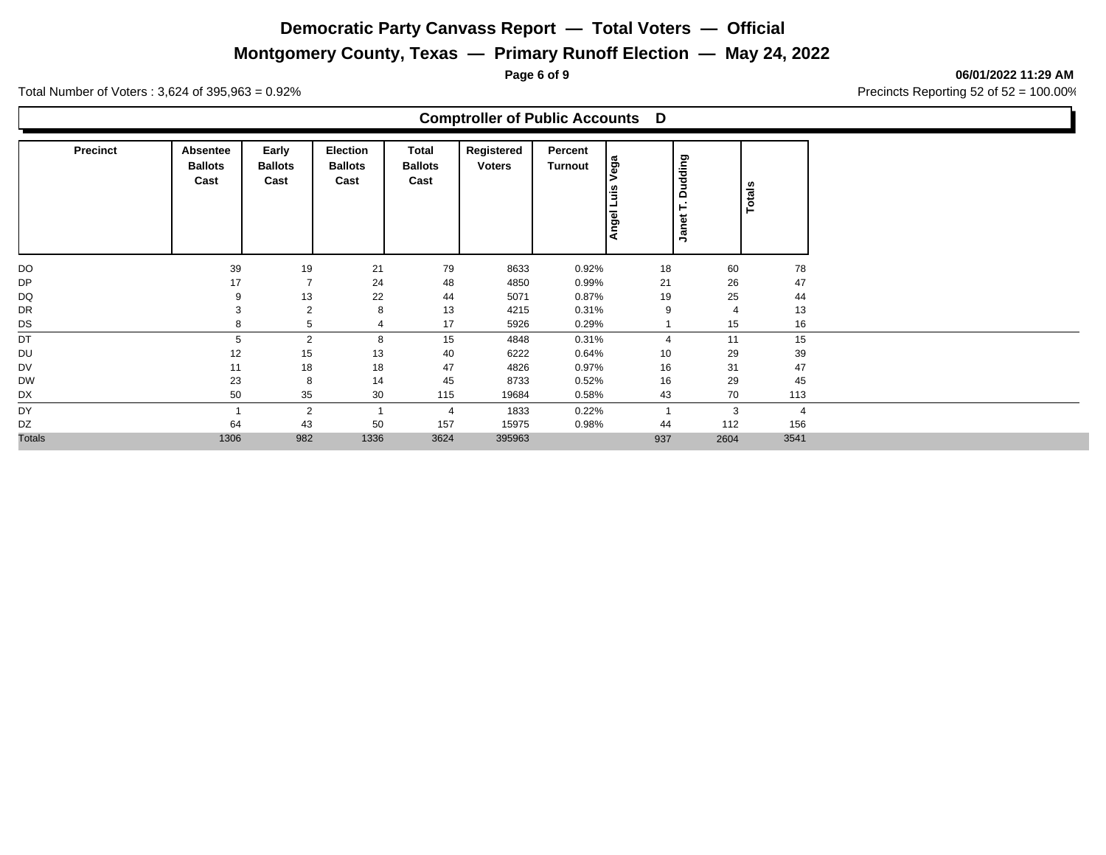**Montgomery County, Texas — Primary Runoff Election — May 24, 2022**

**Page 6 of 9 06/01/2022 11:29 AM**

Total Number of Voters : 3,624 of 395,963 = 0.92% Precincts Reporting 52 of 52 = 100.00%

### **Comptroller of Public Accounts D**

| <b>Precinct</b> | Absentee<br><b>Ballots</b><br>Cast | Early<br><b>Ballots</b><br>Cast | <b>Election</b><br><b>Ballots</b><br>Cast | Total<br><b>Ballots</b><br>Cast | Registered<br><b>Voters</b> | Percent<br>Turnout | Vega<br>ΙåΙ<br>ᆜ<br>Angel | <b>Dudding</b><br>Н<br>Janet |                | Totals         |
|-----------------|------------------------------------|---------------------------------|-------------------------------------------|---------------------------------|-----------------------------|--------------------|---------------------------|------------------------------|----------------|----------------|
| DO              | 39                                 | 19                              | 21                                        | 79                              | 8633                        | 0.92%              | 18                        |                              | 60             | 78             |
| DP              | 17                                 | $\overline{7}$                  | 24                                        | 48                              | 4850                        | 0.99%              | 21                        |                              | 26             | 47             |
| DQ              | 9                                  | 13                              | 22                                        | 44                              | 5071                        | 0.87%              | 19                        |                              | 25             | 44             |
| DR              | 3                                  | 2                               | 8                                         | 13                              | 4215                        | 0.31%              | 9                         |                              | $\overline{4}$ | 13             |
| DS              | 8                                  | 5                               |                                           | 17                              | 5926                        | 0.29%              |                           |                              | 15             | 16             |
| DT              | 5                                  | 2                               | 8                                         | 15                              | 4848                        | 0.31%              | $\overline{4}$            |                              | 11             | 15             |
| DU              | 12                                 | 15                              | 13                                        | 40                              | 6222                        | 0.64%              | 10                        |                              | 29             | 39             |
| DV              | 11                                 | 18                              | 18                                        | 47                              | 4826                        | 0.97%              | 16                        |                              | 31             | 47             |
| <b>DW</b>       | 23                                 | 8                               | 14                                        | 45                              | 8733                        | 0.52%              | 16                        |                              | 29             | 45             |
| DX              | 50                                 | 35                              | 30                                        | 115                             | 19684                       | 0.58%              | 43                        |                              | 70             | 113            |
| DY              |                                    | 2                               |                                           | $\overline{4}$                  | 1833                        | 0.22%              |                           |                              | 3              | $\overline{4}$ |
| DZ              | 64                                 | 43                              | 50                                        | 157                             | 15975                       | 0.98%              | 44                        |                              | 112            | 156            |
| <b>Totals</b>   | 1306                               | 982                             | 1336                                      | 3624                            | 395963                      |                    | 937                       |                              | 2604           | 3541           |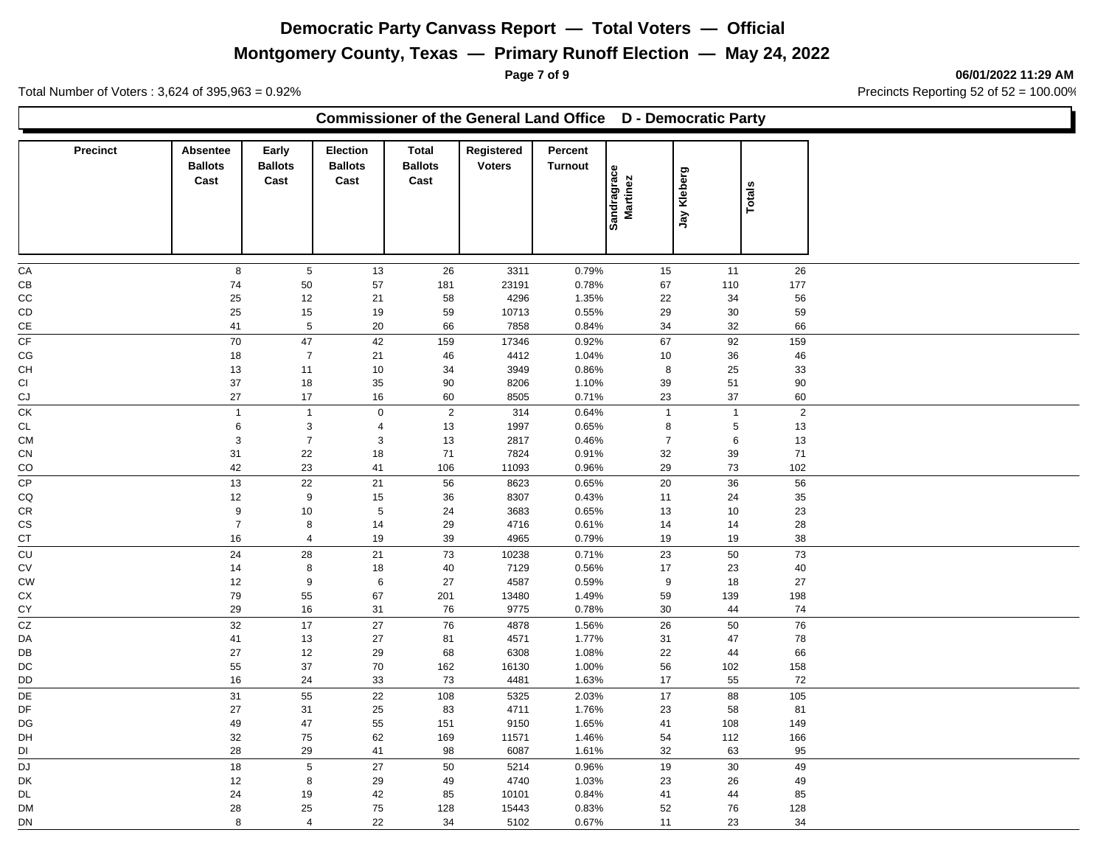# **Montgomery County, Texas — Primary Runoff Election — May 24, 2022**

**Page 7 of 9 06/01/2022 11:29 AM**

Total Number of Voters : 3,624 of 395,963 = 0.92% Precincts Reporting 52 of 52 = 100.00%

### **Commissioner of the General Land Office D - Democratic Party**

| Precinct               | Absentee<br><b>Ballots</b><br>Cast | Early<br><b>Ballots</b><br>Cast | <b>Election</b><br><b>Ballots</b><br>Cast | <b>Total</b><br><b>Ballots</b><br>Cast | Registered<br><b>Voters</b> | Percent<br><b>Turnout</b> |                         |                 |                |  |
|------------------------|------------------------------------|---------------------------------|-------------------------------------------|----------------------------------------|-----------------------------|---------------------------|-------------------------|-----------------|----------------|--|
|                        |                                    |                                 |                                           |                                        |                             |                           | Sandragrace<br>Martinez | Jay Kleberg     | <b>Totals</b>  |  |
|                        |                                    |                                 |                                           |                                        |                             |                           |                         |                 |                |  |
| CA                     | 8                                  | 5                               | 13                                        | 26                                     | 3311                        | 0.79%                     | 15                      | 11              | 26             |  |
| СB                     | 74                                 | 50                              | 57                                        | 181                                    | 23191                       | 0.78%                     | 67                      | 110             | 177            |  |
| CC                     | 25                                 | 12                              | 21                                        | 58                                     | 4296                        | 1.35%                     | 22                      | 34              | 56             |  |
| CD                     | 25                                 | 15                              | 19                                        | 59                                     | 10713                       | 0.55%                     | 29                      | 30              | 59             |  |
| $\mathsf{CE}$          | 41                                 | $\overline{5}$                  | 20                                        | 66                                     | 7858                        | 0.84%                     | 34                      | 32              | 66             |  |
| CF                     | 70                                 | 47                              | 42                                        | 159                                    | 17346                       | 0.92%                     | 67                      | 92              | 159            |  |
| $\mathbb{C}\mathbb{G}$ | 18                                 | $\overline{7}$                  | 21                                        | 46                                     | 4412                        | 1.04%                     | 10                      | 36              | 46             |  |
| СH                     | 13                                 | 11                              | 10                                        | 34                                     | 3949                        | 0.86%                     | 8                       | 25              | 33             |  |
| СI                     | 37                                 | 18                              | 35                                        | 90                                     | 8206                        | 1.10%                     | 39                      | 51              | 90             |  |
| CJ                     | 27                                 | 17                              | 16                                        | 60                                     | 8505                        | 0.71%                     | 23                      | 37              | 60             |  |
| $\overline{CK}$        | $\overline{1}$                     | $\overline{1}$                  | $\pmb{0}$                                 | $\overline{2}$                         | 314                         | 0.64%                     | $\overline{1}$          | $\overline{1}$  | $\overline{2}$ |  |
| <b>CL</b>              | $\,6\,$                            | $\mathbf{3}$                    | $\overline{4}$                            | 13                                     | 1997                        | 0.65%                     | 8                       | $5\phantom{.0}$ | 13             |  |
| <b>CM</b>              | $\ensuremath{\mathsf{3}}$          | $\overline{7}$                  | $\ensuremath{\mathsf{3}}$                 | 13                                     | 2817                        | 0.46%                     | $\overline{7}$          | $\,6\,$         | 13             |  |
| CN                     | 31                                 | 22                              | 18                                        | 71                                     | 7824                        | 0.91%                     | 32                      | 39              | 71             |  |
| CO                     | 42                                 | 23                              | 41                                        | 106                                    | 11093                       | 0.96%                     | 29                      | 73              | 102            |  |
| <b>CP</b>              | 13                                 | 22                              | 21                                        | 56                                     | 8623                        | 0.65%                     | 20                      | 36              | 56             |  |
| CQ                     | 12                                 | 9                               | 15                                        | 36                                     | 8307                        | 0.43%                     | 11                      | 24              | 35             |  |
| CR                     | 9<br>$\overline{7}$                | 10                              | $\sqrt{5}$                                | 24                                     | 3683                        | 0.65%                     | 13                      | 10              | 23             |  |
| <b>CS</b>              |                                    | 8                               | 14                                        | 29                                     | 4716                        | 0.61%                     | 14                      | 14              | 28<br>38       |  |
| СT                     | 16                                 | 4                               | 19                                        | 39                                     | 4965                        | 0.79%                     | 19                      | 19              |                |  |
| $\overline{c}$         | 24                                 | 28                              | 21                                        | 73                                     | 10238                       | 0.71%                     | 23                      | 50              | 73             |  |
| CV                     | 14<br>12                           | 8                               | 18                                        | $40\,$                                 | 7129<br>4587                | 0.56%                     | 17                      | 23              | 40             |  |
| <b>CW</b><br>СX        | 79                                 | 9<br>55                         | 6<br>67                                   | 27<br>201                              | 13480                       | 0.59%<br>1.49%            | 9<br>59                 | 18<br>139       | 27<br>198      |  |
| СY                     | 29                                 | 16                              | 31                                        | 76                                     | 9775                        | 0.78%                     | 30                      | 44              | 74             |  |
| $\overline{cz}$        | 32                                 | $17$                            | 27                                        | 76                                     | 4878                        | 1.56%                     | 26                      | 50              | 76             |  |
| DA                     | 41                                 | 13                              | 27                                        | 81                                     | 4571                        | 1.77%                     | 31                      | 47              | 78             |  |
| DB                     | $27\,$                             | 12                              | 29                                        | 68                                     | 6308                        | 1.08%                     | 22                      | 44              | 66             |  |
| DC                     | 55                                 | 37                              | 70                                        | 162                                    | 16130                       | 1.00%                     | 56                      | 102             | 158            |  |
| DD                     | 16                                 | 24                              | 33                                        | 73                                     | 4481                        | 1.63%                     | 17                      | 55              | 72             |  |
| DE                     | 31                                 | 55                              | 22                                        | 108                                    | 5325                        | 2.03%                     | 17                      | 88              | 105            |  |
| DF                     | 27                                 | 31                              | 25                                        | 83                                     | 4711                        | 1.76%                     | 23                      | 58              | 81             |  |
| DG                     | 49                                 | 47                              | 55                                        | 151                                    | 9150                        | 1.65%                     | 41                      | 108             | 149            |  |
| DH                     | 32                                 | 75                              | 62                                        | 169                                    | 11571                       | 1.46%                     | 54                      | 112             | 166            |  |
| DI                     | 28                                 | 29                              | 41                                        | 98                                     | 6087                        | 1.61%                     | 32                      | 63              | 95             |  |
| $\overline{DJ}$        | 18                                 | $5\phantom{.0}$                 | 27                                        | 50                                     | 5214                        | 0.96%                     | 19                      | $30\,$          | 49             |  |
| DK                     | 12                                 | 8                               | 29                                        | 49                                     | 4740                        | 1.03%                     | 23                      | 26              | 49             |  |
| DL.                    | 24                                 | 19                              | 42                                        | 85                                     | 10101                       | 0.84%                     | 41                      | 44              | 85             |  |
| <b>DM</b>              | 28                                 | 25                              | 75                                        | 128                                    | 15443                       | 0.83%                     | 52                      | 76              | 128            |  |
| DN                     | 8                                  | $\overline{4}$                  | 22                                        | 34                                     | 5102                        | 0.67%                     | 11                      | 23              | 34             |  |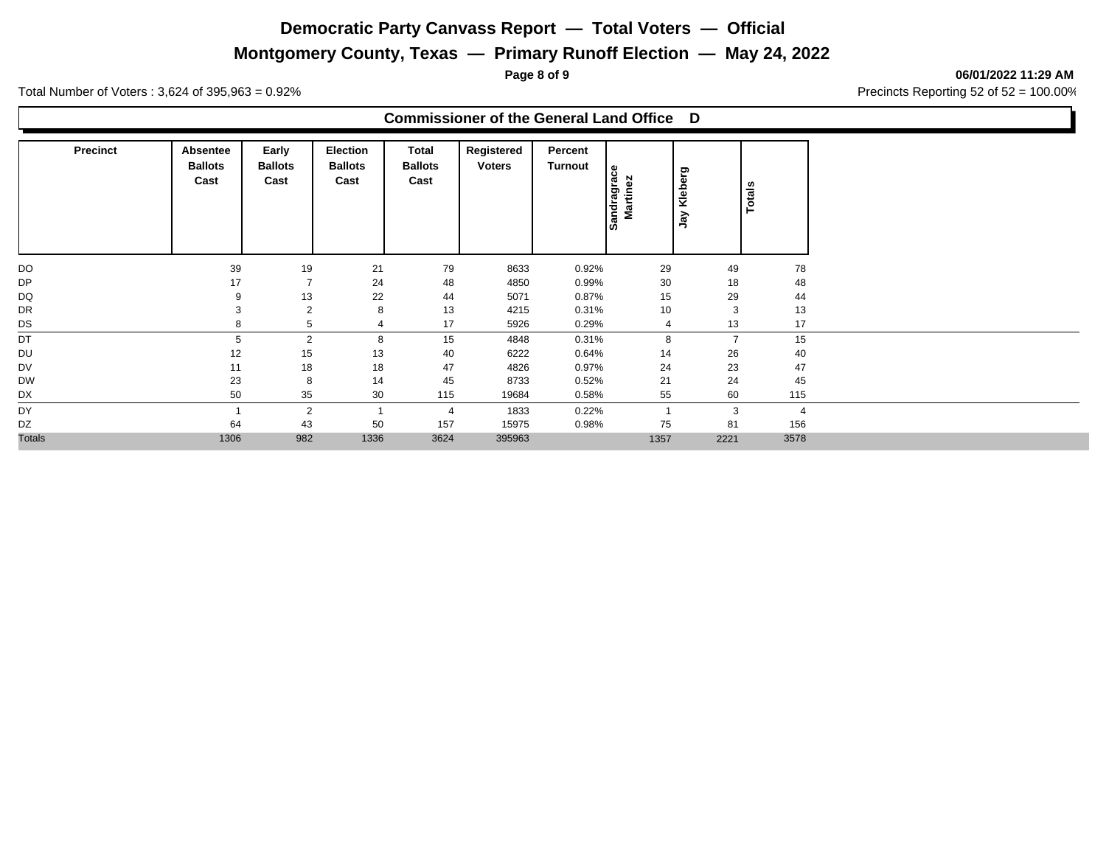# **Montgomery County, Texas — Primary Runoff Election — May 24, 2022**

**Page 8 of 9 06/01/2022 11:29 AM**

Total Number of Voters : 3,624 of 395,963 = 0.92% Precincts Reporting 52 of 52 = 100.00%

### **Commissioner of the General Land Office D**

| <b>Precinct</b> | Absentee<br><b>Ballots</b><br>Cast | Early<br><b>Ballots</b><br>Cast | Election<br><b>Ballots</b><br>Cast | Total<br><b>Ballots</b><br>Cast | Registered<br><b>Voters</b> | Percent<br>Turnout | andragrace<br>Martinez<br><b>SO</b> | Kleberg<br>λgλ | Totals         |      |
|-----------------|------------------------------------|---------------------------------|------------------------------------|---------------------------------|-----------------------------|--------------------|-------------------------------------|----------------|----------------|------|
| DO              | 39                                 | 19                              | 21                                 | 79                              | 8633                        | 0.92%              | 29                                  |                | 49             | 78   |
| <b>DP</b>       | 17                                 | $\overline{7}$                  | 24                                 | 48                              | 4850                        | 0.99%              | 30                                  |                | 18             | 48   |
| DQ              | 9                                  | 13                              | 22                                 | 44                              | 5071                        | 0.87%              | 15                                  |                | 29             | 44   |
| DR              | 3                                  | $\overline{2}$                  | 8                                  | 13                              | 4215                        | 0.31%              | 10                                  |                | 3              | 13   |
| DS              | 8                                  | 5                               |                                    | 17                              | 5926                        | 0.29%              | $\overline{4}$                      |                | 13             | 17   |
| DT              | 5                                  | $\overline{2}$                  | 8                                  | 15                              | 4848                        | 0.31%              | 8                                   |                | $\overline{7}$ | 15   |
| DU              | 12                                 | 15                              | 13                                 | 40                              | 6222                        | 0.64%              | 14                                  |                | 26             | 40   |
| DV              | 11                                 | 18                              | 18                                 | 47                              | 4826                        | 0.97%              | 24                                  |                | 23             | 47   |
| <b>DW</b>       | 23                                 | 8                               | 14                                 | 45                              | 8733                        | 0.52%              | 21                                  |                | 24             | 45   |
| DX              | 50                                 | 35                              | 30                                 | 115                             | 19684                       | 0.58%              | 55                                  |                | 60             | 115  |
| DY              |                                    | $\overline{2}$                  |                                    | 4                               | 1833                        | 0.22%              |                                     |                | 3              |      |
| DZ              | 64                                 | 43                              | 50                                 | 157                             | 15975                       | 0.98%              | 75                                  |                | 81             | 156  |
| <b>Totals</b>   | 1306                               | 982                             | 1336                               | 3624                            | 395963                      |                    | 1357                                |                | 2221           | 3578 |